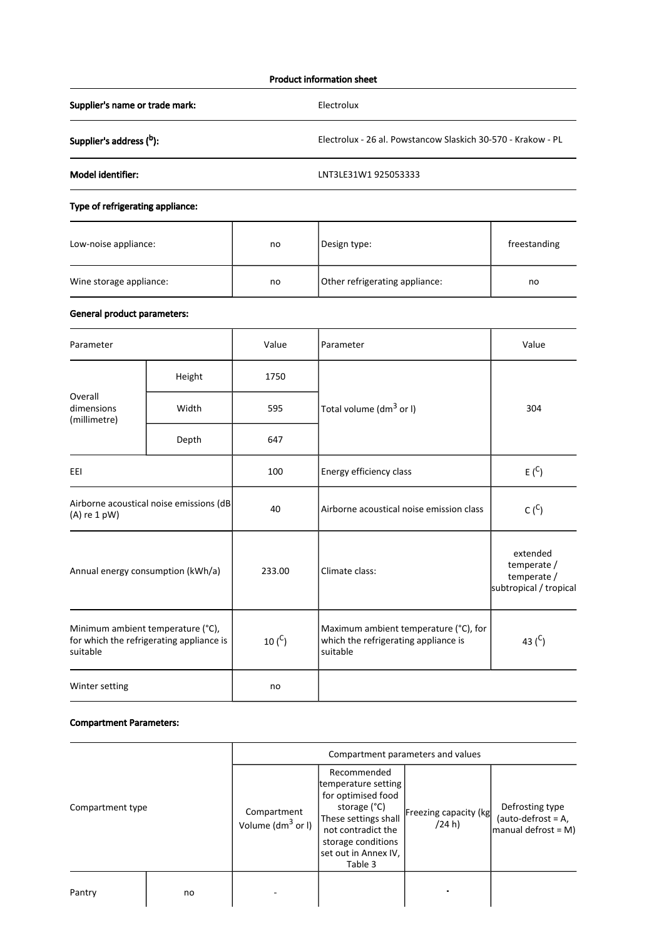### Product information sheet

Supplier's name or trade mark: Electrolux

Supplier's address (b): b Electrolux - 26 al. Powstancow Slaskich 30-570 - Krakow - PL

Model identifier: LNT3LE31W1 925053333

## Type of refrigerating appliance:

| Low-noise appliance:    | no | Design type:                   | freestanding |
|-------------------------|----|--------------------------------|--------------|
| Wine storage appliance: | no | Other refrigerating appliance: | no           |

# General product parameters:

| Parameter                                                                                 |        | Value       | Parameter                                                                                 | Value                                                            |
|-------------------------------------------------------------------------------------------|--------|-------------|-------------------------------------------------------------------------------------------|------------------------------------------------------------------|
| Overall<br>dimensions<br>(millimetre)                                                     | Height | 1750        |                                                                                           | 304                                                              |
|                                                                                           | Width  | 595         | Total volume (dm <sup>3</sup> or I)                                                       |                                                                  |
|                                                                                           | Depth  | 647         |                                                                                           |                                                                  |
| EEI                                                                                       |        | 100         | Energy efficiency class                                                                   | E(S)                                                             |
| Airborne acoustical noise emissions (dB<br>$(A)$ re 1 pW)                                 |        | 40          | $C(^{C})$<br>Airborne acoustical noise emission class                                     |                                                                  |
| Annual energy consumption (kWh/a)                                                         |        | 233.00      | Climate class:                                                                            | extended<br>temperate /<br>temperate /<br>subtropical / tropical |
| Minimum ambient temperature (°C),<br>for which the refrigerating appliance is<br>suitable |        | 10 $(^{C})$ | Maximum ambient temperature (°C), for<br>which the refrigerating appliance is<br>suitable | 43 $(C)$                                                         |
| Winter setting                                                                            |        | no          |                                                                                           |                                                                  |

### Compartment Parameters:

|                  |    | Compartment parameters and values    |                                                                                                                                                                                 |                                 |                                                                 |
|------------------|----|--------------------------------------|---------------------------------------------------------------------------------------------------------------------------------------------------------------------------------|---------------------------------|-----------------------------------------------------------------|
| Compartment type |    | Compartment<br>Volume ( $dm^3$ or I) | Recommended<br>temperature setting<br>for optimised food<br>storage (°C)<br>These settings shall<br>not contradict the<br>storage conditions<br>set out in Annex IV,<br>Table 3 | Freezing capacity (kg<br>(24 h) | Defrosting type<br>(auto-defrost = $A$ ,<br>manual defrost = M) |
| Pantry           | no |                                      |                                                                                                                                                                                 |                                 |                                                                 |